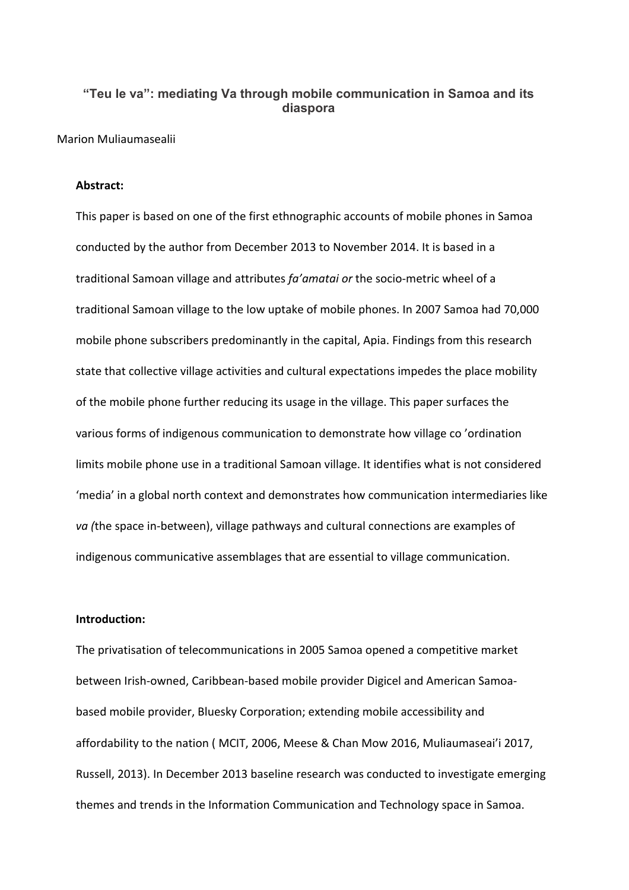# **"Teu le va": mediating Va through mobile communication in Samoa and its diaspora**

Marion Muliaumasealii

### **Abstract:**

This paper is based on one of the first ethnographic accounts of mobile phones in Samoa conducted by the author from December 2013 to November 2014. It is based in a traditional Samoan village and attributes *fa'amatai or* the socio-metric wheel of a traditional Samoan village to the low uptake of mobile phones. In 2007 Samoa had 70,000 mobile phone subscribers predominantly in the capital, Apia. Findings from this research state that collective village activities and cultural expectations impedes the place mobility of the mobile phone further reducing its usage in the village. This paper surfaces the various forms of indigenous communication to demonstrate how village co 'ordination limits mobile phone use in a traditional Samoan village. It identifies what is not considered 'media' in a global north context and demonstrates how communication intermediaries like *va (*the space in-between), village pathways and cultural connections are examples of indigenous communicative assemblages that are essential to village communication.

## **Introduction:**

The privatisation of telecommunications in 2005 Samoa opened a competitive market between Irish-owned, Caribbean-based mobile provider Digicel and American Samoabased mobile provider, Bluesky Corporation; extending mobile accessibility and affordability to the nation ( MCIT, 2006, Meese & Chan Mow 2016, Muliaumaseai'i 2017, Russell, 2013). In December 2013 baseline research was conducted to investigate emerging themes and trends in the Information Communication and Technology space in Samoa.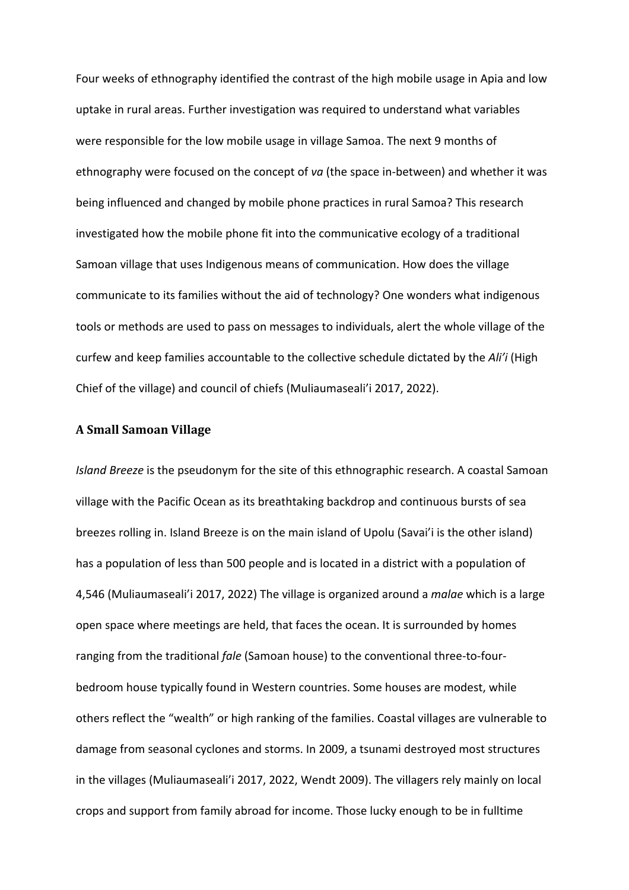Four weeks of ethnography identified the contrast of the high mobile usage in Apia and low uptake in rural areas. Further investigation was required to understand what variables were responsible for the low mobile usage in village Samoa. The next 9 months of ethnography were focused on the concept of *va* (the space in-between) and whether it was being influenced and changed by mobile phone practices in rural Samoa? This research investigated how the mobile phone fit into the communicative ecology of a traditional Samoan village that uses Indigenous means of communication. How does the village communicate to its families without the aid of technology? One wonders what indigenous tools or methods are used to pass on messages to individuals, alert the whole village of the curfew and keep families accountable to the collective schedule dictated by the *Ali'i* (High Chief of the village) and council of chiefs (Muliaumaseali'i 2017, 2022).

#### **A Small Samoan Village**

*Island Breeze* is the pseudonym for the site of this ethnographic research. A coastal Samoan village with the Pacific Ocean as its breathtaking backdrop and continuous bursts of sea breezes rolling in. Island Breeze is on the main island of Upolu (Savai'i is the other island) has a population of less than 500 people and is located in a district with a population of 4,546 (Muliaumaseali'i 2017, 2022) The village is organized around a *malae* which is a large open space where meetings are held, that faces the ocean. It is surrounded by homes ranging from the traditional *fale* (Samoan house) to the conventional three-to-fourbedroom house typically found in Western countries. Some houses are modest, while others reflect the "wealth" or high ranking of the families. Coastal villages are vulnerable to damage from seasonal cyclones and storms. In 2009, a tsunami destroyed most structures in the villages (Muliaumaseali'i 2017, 2022, Wendt 2009). The villagers rely mainly on local crops and support from family abroad for income. Those lucky enough to be in fulltime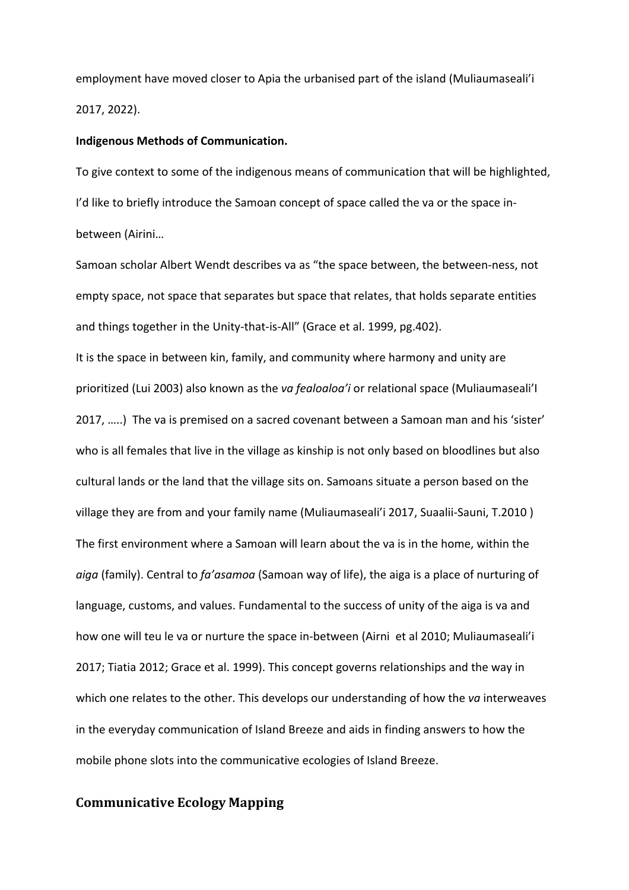employment have moved closer to Apia the urbanised part of the island (Muliaumaseali'i 2017, 2022).

#### **Indigenous Methods of Communication.**

To give context to some of the indigenous means of communication that will be highlighted, I'd like to briefly introduce the Samoan concept of space called the va or the space inbetween (Airini…

Samoan scholar Albert Wendt describes va as "the space between, the between-ness, not empty space, not space that separates but space that relates, that holds separate entities and things together in the Unity-that-is-All" (Grace et al. 1999, pg.402).

It is the space in between kin, family, and community where harmony and unity are prioritized (Lui 2003) also known as the *va fealoaloa'i* or relational space (Muliaumaseali'I 2017, …..) The va is premised on a sacred covenant between a Samoan man and his 'sister' who is all females that live in the village as kinship is not only based on bloodlines but also cultural lands or the land that the village sits on. Samoans situate a person based on the village they are from and your family name (Muliaumaseali'i 2017, Suaalii-Sauni, T.2010 ) The first environment where a Samoan will learn about the va is in the home, within the *aiga* (family). Central to *fa'asamoa* (Samoan way of life), the aiga is a place of nurturing of language, customs, and values. Fundamental to the success of unity of the aiga is va and how one will teu le va or nurture the space in-between (Airni et al 2010; Muliaumaseali'i 2017; Tiatia 2012; Grace et al. 1999). This concept governs relationships and the way in which one relates to the other. This develops our understanding of how the *va* interweaves in the everyday communication of Island Breeze and aids in finding answers to how the mobile phone slots into the communicative ecologies of Island Breeze.

## **Communicative Ecology Mapping**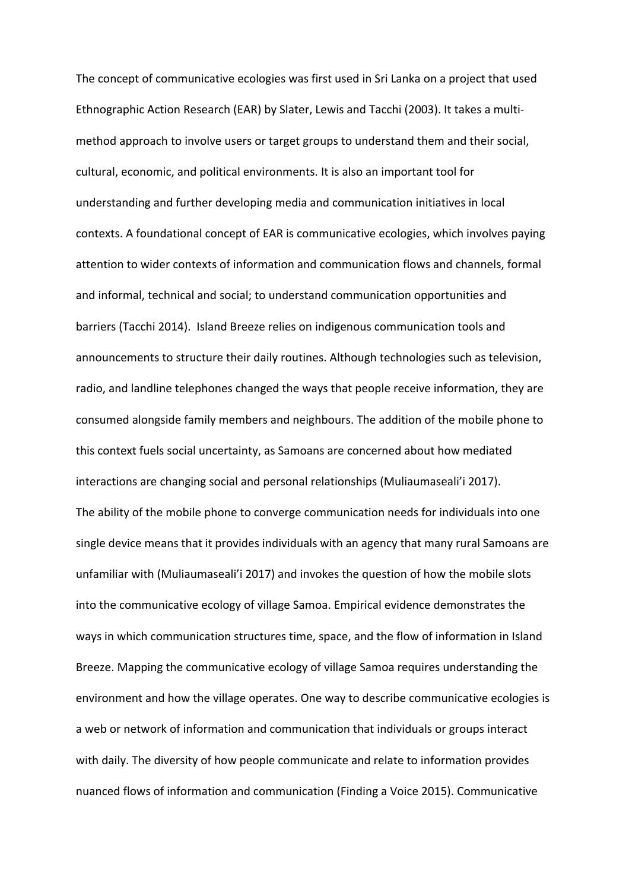The concept of communicative ecologies was first used in Sri Lanka on a project that used Ethnographic Action Research (EAR) by Slater, Lewis and Tacchi (2003). It takes a multimethod approach to involve users or target groups to understand them and their social, cultural, economic, and political environments. It is also an important tool for understanding and further developing media and communication initiatives in local contexts. A foundational concept of EAR is communicative ecologies, which involves paying attention to wider contexts of information and communication flows and channels, formal and informal, technical and social; to understand communication opportunities and barriers (Tacchi 2014). Island Breeze relies on indigenous communication tools and announcements to structure their daily routines. Although technologies such as television, radio, and landline telephones changed the ways that people receive information, they are consumed alongside family members and neighbours. The addition of the mobile phone to this context fuels social uncertainty, as Samoans are concerned about how mediated interactions are changing social and personal relationships (Muliaumaseali'i 2017). The ability of the mobile phone to converge communication needs for individuals into one single device means that it provides individuals with an agency that many rural Samoans are unfamiliar with (Muliaumaseali'i 2017) and invokes the question of how the mobile slots into the communicative ecology of village Samoa. Empirical evidence demonstrates the ways in which communication structures time, space, and the flow of information in Island Breeze. Mapping the communicative ecology of village Samoa requires understanding the environment and how the village operates. One way to describe communicative ecologies is a web or network of information and communication that individuals or groups interact with daily. The diversity of how people communicate and relate to information provides nuanced flows of information and communication (Finding a Voice 2015). Communicative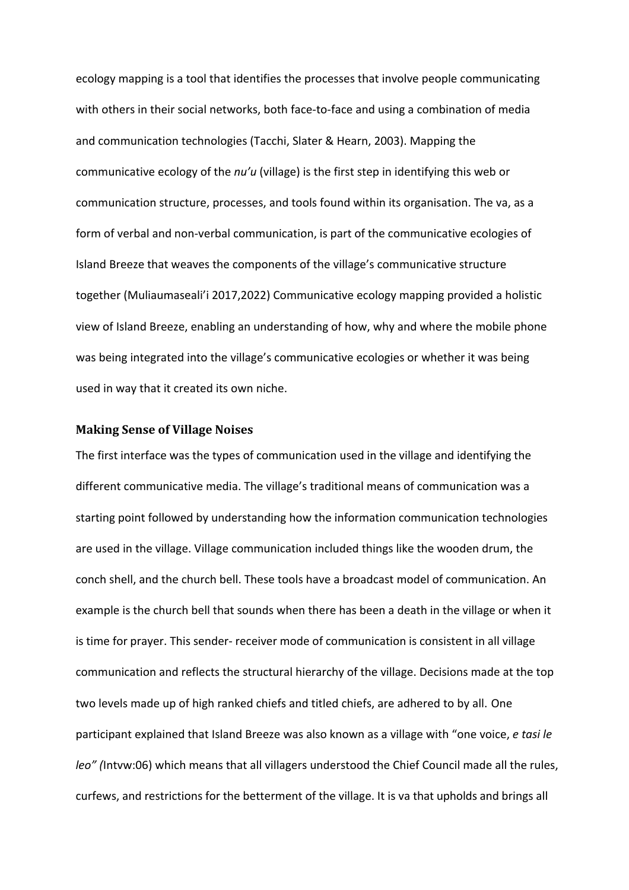ecology mapping is a tool that identifies the processes that involve people communicating with others in their social networks, both face-to-face and using a combination of media and communication technologies (Tacchi, Slater & Hearn, 2003). Mapping the communicative ecology of the *nu'u* (village) is the first step in identifying this web or communication structure, processes, and tools found within its organisation. The va, as a form of verbal and non-verbal communication, is part of the communicative ecologies of Island Breeze that weaves the components of the village's communicative structure together (Muliaumaseali'i 2017,2022) Communicative ecology mapping provided a holistic view of Island Breeze, enabling an understanding of how, why and where the mobile phone was being integrated into the village's communicative ecologies or whether it was being used in way that it created its own niche.

### **Making Sense of Village Noises**

The first interface was the types of communication used in the village and identifying the different communicative media. The village's traditional means of communication was a starting point followed by understanding how the information communication technologies are used in the village. Village communication included things like the wooden drum, the conch shell, and the church bell. These tools have a broadcast model of communication. An example is the church bell that sounds when there has been a death in the village or when it is time for prayer. This sender- receiver mode of communication is consistent in all village communication and reflects the structural hierarchy of the village. Decisions made at the top two levels made up of high ranked chiefs and titled chiefs, are adhered to by all. One participant explained that Island Breeze was also known as a village with "one voice, *e tasi le leo" (*Intvw:06) which means that all villagers understood the Chief Council made all the rules, curfews, and restrictions for the betterment of the village. It is va that upholds and brings all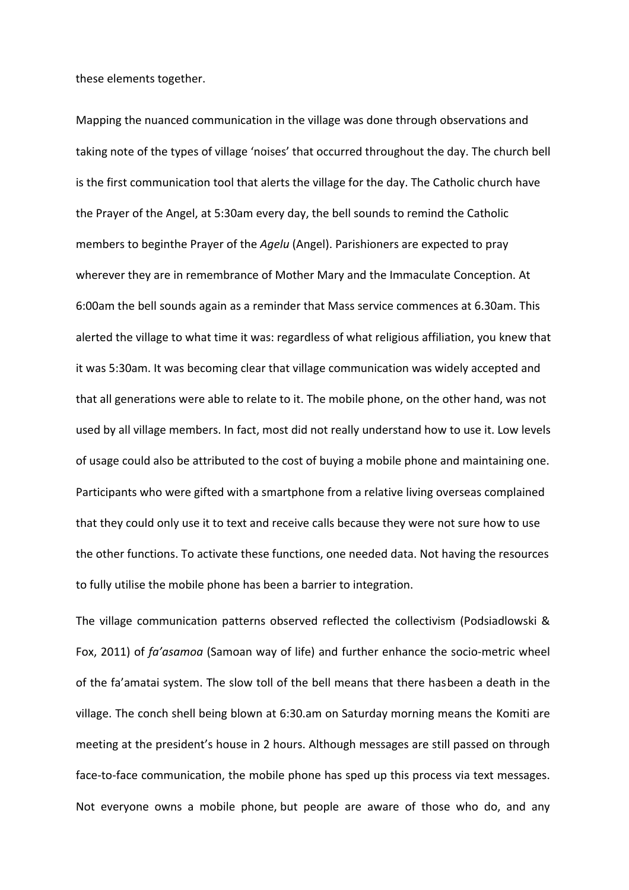these elements together.

Mapping the nuanced communication in the village was done through observations and taking note of the types of village 'noises' that occurred throughout the day. The church bell is the first communication tool that alerts the village for the day. The Catholic church have the Prayer of the Angel, at 5:30am every day, the bell sounds to remind the Catholic members to beginthe Prayer of the *Agelu* (Angel). Parishioners are expected to pray wherever they are in remembrance of Mother Mary and the Immaculate Conception. At 6:00am the bell sounds again as a reminder that Mass service commences at 6.30am. This alerted the village to what time it was: regardless of what religious affiliation, you knew that it was 5:30am. It was becoming clear that village communication was widely accepted and that all generations were able to relate to it. The mobile phone, on the other hand, was not used by all village members. In fact, most did not really understand how to use it. Low levels of usage could also be attributed to the cost of buying a mobile phone and maintaining one. Participants who were gifted with a smartphone from a relative living overseas complained that they could only use it to text and receive calls because they were not sure how to use the other functions. To activate these functions, one needed data. Not having the resources to fully utilise the mobile phone has been a barrier to integration.

The village communication patterns observed reflected the collectivism (Podsiadlowski & Fox, 2011) of *fa'asamoa* (Samoan way of life) and further enhance the socio-metric wheel of the fa'amatai system. The slow toll of the bell means that there hasbeen a death in the village. The conch shell being blown at 6:30.am on Saturday morning means the Komiti are meeting at the president's house in 2 hours. Although messages are still passed on through face-to-face communication, the mobile phone has sped up this process via text messages. Not everyone owns a mobile phone, but people are aware of those who do, and any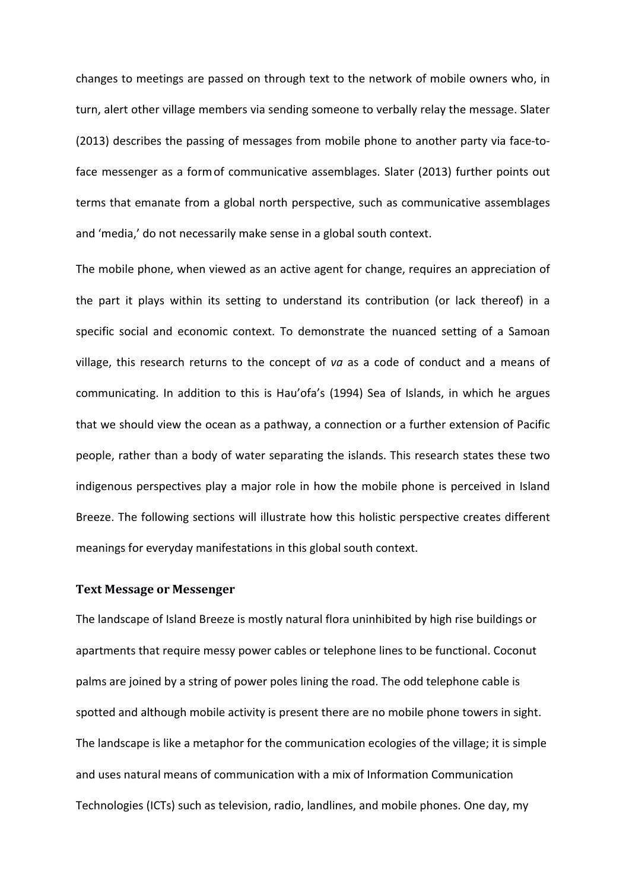changes to meetings are passed on through text to the network of mobile owners who, in turn, alert other village members via sending someone to verbally relay the message. Slater (2013) describes the passing of messages from mobile phone to another party via face-toface messenger as a formof communicative assemblages. Slater (2013) further points out terms that emanate from a global north perspective, such as communicative assemblages and 'media,' do not necessarily make sense in a global south context.

The mobile phone, when viewed as an active agent for change, requires an appreciation of the part it plays within its setting to understand its contribution (or lack thereof) in a specific social and economic context. To demonstrate the nuanced setting of a Samoan village, this research returns to the concept of *va* as a code of conduct and a means of communicating. In addition to this is Hau'ofa's (1994) Sea of Islands, in which he argues that we should view the ocean as a pathway, a connection or a further extension of Pacific people, rather than a body of water separating the islands. This research states these two indigenous perspectives play a major role in how the mobile phone is perceived in Island Breeze. The following sections will illustrate how this holistic perspective creates different meanings for everyday manifestations in this global south context.

### **Text Message or Messenger**

The landscape of Island Breeze is mostly natural flora uninhibited by high rise buildings or apartments that require messy power cables or telephone lines to be functional. Coconut palms are joined by a string of power poles lining the road. The odd telephone cable is spotted and although mobile activity is present there are no mobile phone towers in sight. The landscape is like a metaphor for the communication ecologies of the village; it is simple and uses natural means of communication with a mix of Information Communication Technologies (ICTs) such as television, radio, landlines, and mobile phones. One day, my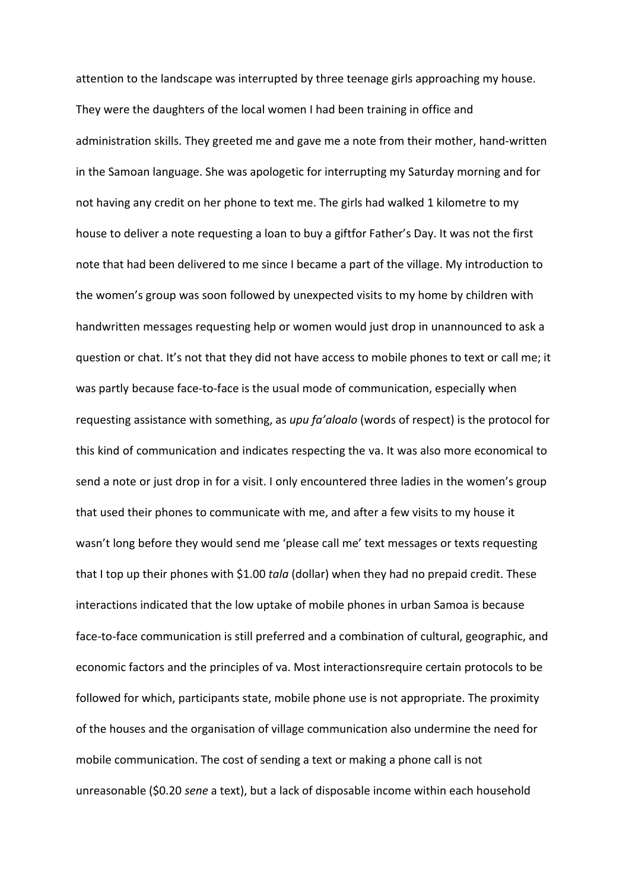attention to the landscape was interrupted by three teenage girls approaching my house. They were the daughters of the local women I had been training in office and administration skills. They greeted me and gave me a note from their mother, hand-written in the Samoan language. She was apologetic for interrupting my Saturday morning and for not having any credit on her phone to text me. The girls had walked 1 kilometre to my house to deliver a note requesting a loan to buy a giftfor Father's Day. It was not the first note that had been delivered to me since I became a part of the village. My introduction to the women's group was soon followed by unexpected visits to my home by children with handwritten messages requesting help or women would just drop in unannounced to ask a question or chat. It's not that they did not have access to mobile phones to text or call me; it was partly because face-to-face is the usual mode of communication, especially when requesting assistance with something, as *upu fa'aloalo* (words of respect) is the protocol for this kind of communication and indicates respecting the va. It was also more economical to send a note or just drop in for a visit. I only encountered three ladies in the women's group that used their phones to communicate with me, and after a few visits to my house it wasn't long before they would send me 'please call me' text messages or texts requesting that I top up their phones with \$1.00 *tala* (dollar) when they had no prepaid credit. These interactions indicated that the low uptake of mobile phones in urban Samoa is because face-to-face communication is still preferred and a combination of cultural, geographic, and economic factors and the principles of va. Most interactionsrequire certain protocols to be followed for which, participants state, mobile phone use is not appropriate. The proximity of the houses and the organisation of village communication also undermine the need for mobile communication. The cost of sending a text or making a phone call is not unreasonable (\$0.20 *sene* a text), but a lack of disposable income within each household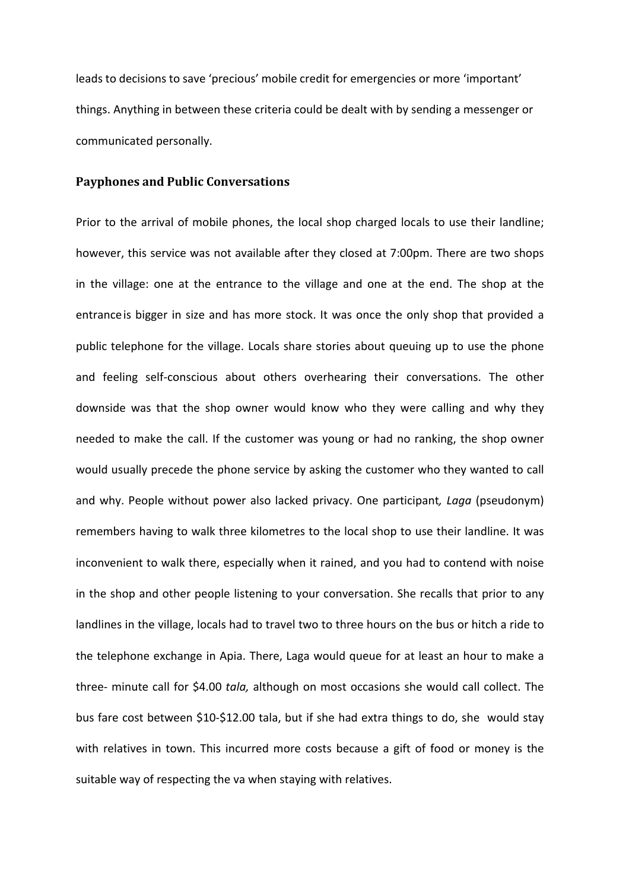leads to decisions to save 'precious' mobile credit for emergencies or more 'important' things. Anything in between these criteria could be dealt with by sending a messenger or communicated personally.

# **Payphones and Public Conversations**

Prior to the arrival of mobile phones, the local shop charged locals to use their landline; however, this service was not available after they closed at 7:00pm. There are two shops in the village: one at the entrance to the village and one at the end. The shop at the entranceis bigger in size and has more stock. It was once the only shop that provided a public telephone for the village. Locals share stories about queuing up to use the phone and feeling self-conscious about others overhearing their conversations. The other downside was that the shop owner would know who they were calling and why they needed to make the call. If the customer was young or had no ranking, the shop owner would usually precede the phone service by asking the customer who they wanted to call and why. People without power also lacked privacy. One participant*, Laga* (pseudonym) remembers having to walk three kilometres to the local shop to use their landline. It was inconvenient to walk there, especially when it rained, and you had to contend with noise in the shop and other people listening to your conversation. She recalls that prior to any landlines in the village, locals had to travel two to three hours on the bus or hitch a ride to the telephone exchange in Apia. There, Laga would queue for at least an hour to make a three- minute call for \$4.00 *tala,* although on most occasions she would call collect. The bus fare cost between \$10-\$12.00 tala, but if she had extra things to do, she would stay with relatives in town. This incurred more costs because a gift of food or money is the suitable way of respecting the va when staying with relatives.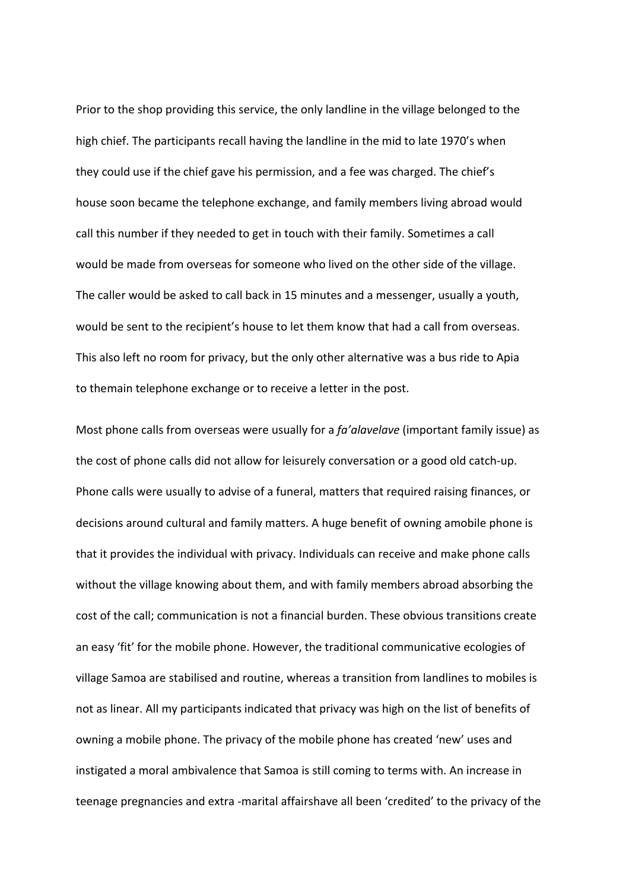Prior to the shop providing this service, the only landline in the village belonged to the high chief. The participants recall having the landline in the mid to late 1970's when they could use if the chief gave his permission, and a fee was charged. The chief's house soon became the telephone exchange, and family members living abroad would call this number if they needed to get in touch with their family. Sometimes a call would be made from overseas for someone who lived on the other side of the village. The caller would be asked to call back in 15 minutes and a messenger, usually a youth, would be sent to the recipient's house to let them know that had a call from overseas. This also left no room for privacy, but the only other alternative was a bus ride to Apia to themain telephone exchange or to receive a letter in the post.

Most phone calls from overseas were usually for a *fa'alavelave* (important family issue) as the cost of phone calls did not allow for leisurely conversation or a good old catch-up. Phone calls were usually to advise of a funeral, matters that required raising finances, or decisions around cultural and family matters. A huge benefit of owning amobile phone is that it provides the individual with privacy. Individuals can receive and make phone calls without the village knowing about them, and with family members abroad absorbing the cost of the call; communication is not a financial burden. These obvious transitions create an easy 'fit' for the mobile phone. However, the traditional communicative ecologies of village Samoa are stabilised and routine, whereas a transition from landlines to mobiles is not as linear. All my participants indicated that privacy was high on the list of benefits of owning a mobile phone. The privacy of the mobile phone has created 'new' uses and instigated a moral ambivalence that Samoa is still coming to terms with. An increase in teenage pregnancies and extra -marital affairshave all been 'credited' to the privacy of the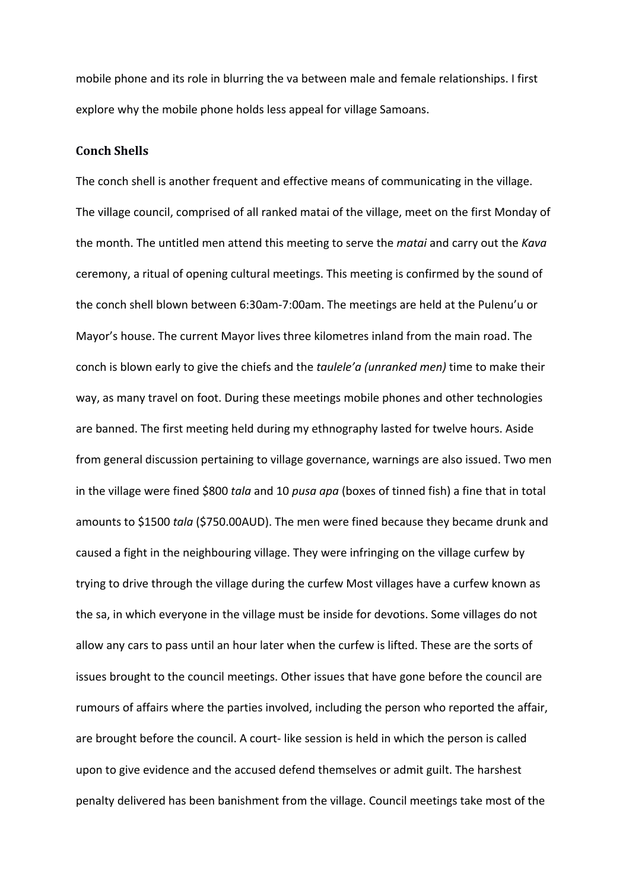mobile phone and its role in blurring the va between male and female relationships. I first explore why the mobile phone holds less appeal for village Samoans.

#### **Conch Shells**

The conch shell is another frequent and effective means of communicating in the village. The village council, comprised of all ranked matai of the village, meet on the first Monday of the month. The untitled men attend this meeting to serve the *matai* and carry out the *Kava*  ceremony, a ritual of opening cultural meetings. This meeting is confirmed by the sound of the conch shell blown between 6:30am-7:00am. The meetings are held at the Pulenu'u or Mayor's house. The current Mayor lives three kilometres inland from the main road. The conch is blown early to give the chiefs and the *taulele'a (unranked men)* time to make their way, as many travel on foot. During these meetings mobile phones and other technologies are banned. The first meeting held during my ethnography lasted for twelve hours. Aside from general discussion pertaining to village governance, warnings are also issued. Two men in the village were fined \$800 *tala* and 10 *pusa apa* (boxes of tinned fish) a fine that in total amounts to \$1500 *tala* (\$750.00AUD). The men were fined because they became drunk and caused a fight in the neighbouring village. They were infringing on the village curfew by trying to drive through the village during the curfew Most villages have a curfew known as the sa, in which everyone in the village must be inside for devotions. Some villages do not allow any cars to pass until an hour later when the curfew is lifted. These are the sorts of issues brought to the council meetings. Other issues that have gone before the council are rumours of affairs where the parties involved, including the person who reported the affair, are brought before the council. A court- like session is held in which the person is called upon to give evidence and the accused defend themselves or admit guilt. The harshest penalty delivered has been banishment from the village. Council meetings take most of the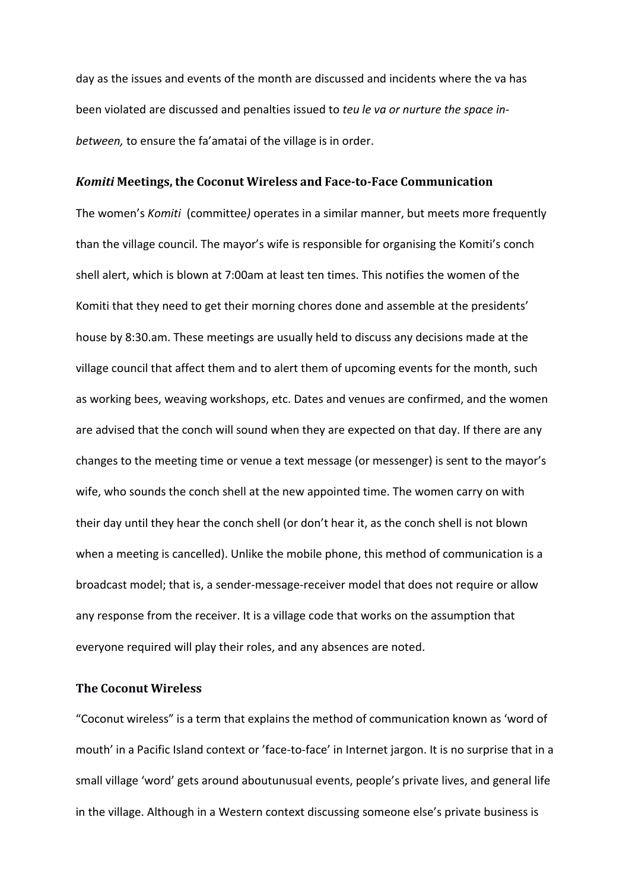day as the issues and events of the month are discussed and incidents where the va has been violated are discussed and penalties issued to *teu le va or nurture the space inbetween,* to ensure the fa'amatai of the village is in order.

#### *Komiti* **Meetings, the Coconut Wireless and Face-to-Face Communication**

The women's *Komiti* (committee*)* operates in a similar manner, but meets more frequently than the village council. The mayor's wife is responsible for organising the Komiti's conch shell alert, which is blown at 7:00am at least ten times. This notifies the women of the Komiti that they need to get their morning chores done and assemble at the presidents' house by 8:30.am. These meetings are usually held to discuss any decisions made at the village council that affect them and to alert them of upcoming events for the month, such as working bees, weaving workshops, etc. Dates and venues are confirmed, and the women are advised that the conch will sound when they are expected on that day. If there are any changes to the meeting time or venue a text message (or messenger) is sent to the mayor's wife, who sounds the conch shell at the new appointed time. The women carry on with their day until they hear the conch shell (or don't hear it, as the conch shell is not blown when a meeting is cancelled). Unlike the mobile phone, this method of communication is a broadcast model; that is, a sender-message-receiver model that does not require or allow any response from the receiver. It is a village code that works on the assumption that everyone required will play their roles, and any absences are noted.

## **The Coconut Wireless**

"Coconut wireless" is a term that explains the method of communication known as 'word of mouth' in a Pacific Island context or 'face-to-face' in Internet jargon. It is no surprise that in a small village 'word' gets around aboutunusual events, people's private lives, and general life in the village. Although in a Western context discussing someone else's private business is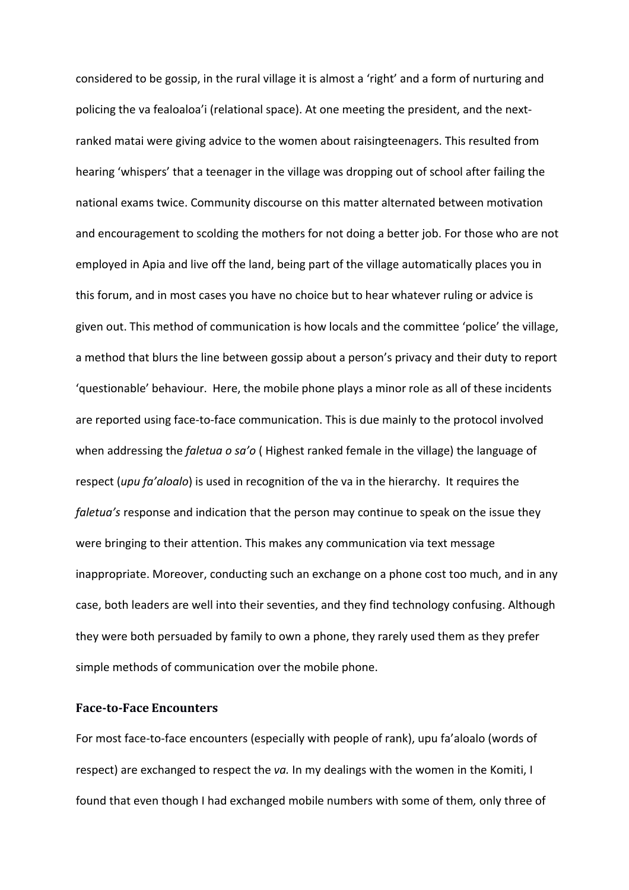considered to be gossip, in the rural village it is almost a 'right' and a form of nurturing and policing the va fealoaloa'i (relational space). At one meeting the president, and the nextranked matai were giving advice to the women about raisingteenagers. This resulted from hearing 'whispers' that a teenager in the village was dropping out of school after failing the national exams twice. Community discourse on this matter alternated between motivation and encouragement to scolding the mothers for not doing a better job. For those who are not employed in Apia and live off the land, being part of the village automatically places you in this forum, and in most cases you have no choice but to hear whatever ruling or advice is given out. This method of communication is how locals and the committee 'police' the village, a method that blurs the line between gossip about a person's privacy and their duty to report 'questionable' behaviour. Here, the mobile phone plays a minor role as all of these incidents are reported using face-to-face communication. This is due mainly to the protocol involved when addressing the *faletua o sa'o* ( Highest ranked female in the village) the language of respect (*upu fa'aloalo*) is used in recognition of the va in the hierarchy. It requires the *faletua's* response and indication that the person may continue to speak on the issue they were bringing to their attention. This makes any communication via text message inappropriate. Moreover, conducting such an exchange on a phone cost too much, and in any case, both leaders are well into their seventies, and they find technology confusing. Although they were both persuaded by family to own a phone, they rarely used them as they prefer simple methods of communication over the mobile phone.

## **Face-to-Face Encounters**

For most face-to-face encounters (especially with people of rank), upu fa'aloalo (words of respect) are exchanged to respect the *va.* In my dealings with the women in the Komiti, I found that even though I had exchanged mobile numbers with some of them*,* only three of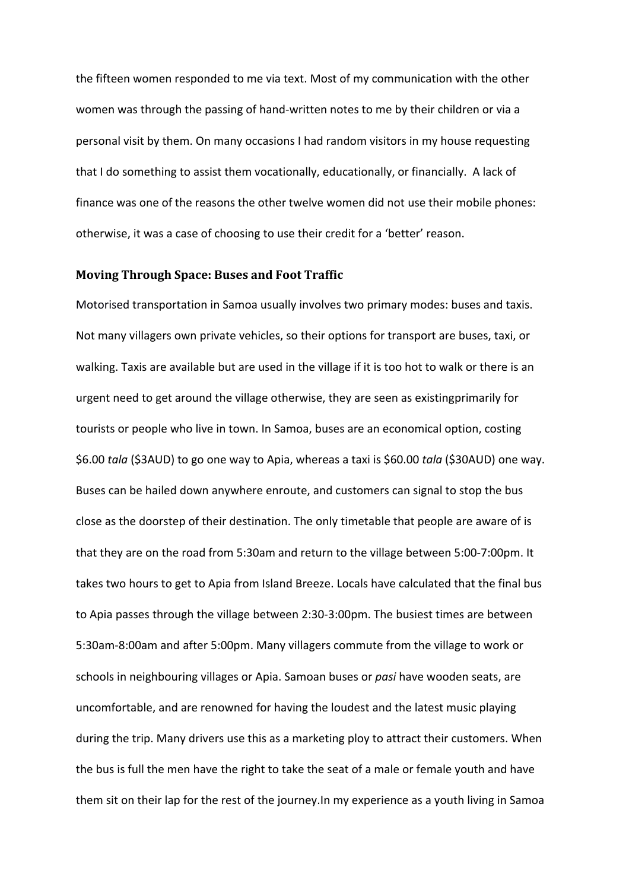the fifteen women responded to me via text. Most of my communication with the other women was through the passing of hand-written notes to me by their children or via a personal visit by them. On many occasions I had random visitors in my house requesting that I do something to assist them vocationally, educationally, or financially. A lack of finance was one of the reasons the other twelve women did not use their mobile phones: otherwise, it was a case of choosing to use their credit for a 'better' reason.

## **Moving Through Space: Buses and Foot Traffic**

Motorised transportation in Samoa usually involves two primary modes: buses and taxis. Not many villagers own private vehicles, so their options for transport are buses, taxi, or walking. Taxis are available but are used in the village if it is too hot to walk or there is an urgent need to get around the village otherwise, they are seen as existingprimarily for tourists or people who live in town. In Samoa, buses are an economical option, costing \$6.00 *tala* (\$3AUD) to go one way to Apia, whereas a taxi is \$60.00 *tala* (\$30AUD) one way. Buses can be hailed down anywhere enroute, and customers can signal to stop the bus close as the doorstep of their destination. The only timetable that people are aware of is that they are on the road from 5:30am and return to the village between 5:00-7:00pm. It takes two hours to get to Apia from Island Breeze. Locals have calculated that the final bus to Apia passes through the village between 2:30-3:00pm. The busiest times are between 5:30am-8:00am and after 5:00pm. Many villagers commute from the village to work or schools in neighbouring villages or Apia. Samoan buses or *pasi* have wooden seats, are uncomfortable, and are renowned for having the loudest and the latest music playing during the trip. Many drivers use this as a marketing ploy to attract their customers. When the bus is full the men have the right to take the seat of a male or female youth and have them sit on their lap for the rest of the journey.In my experience as a youth living in Samoa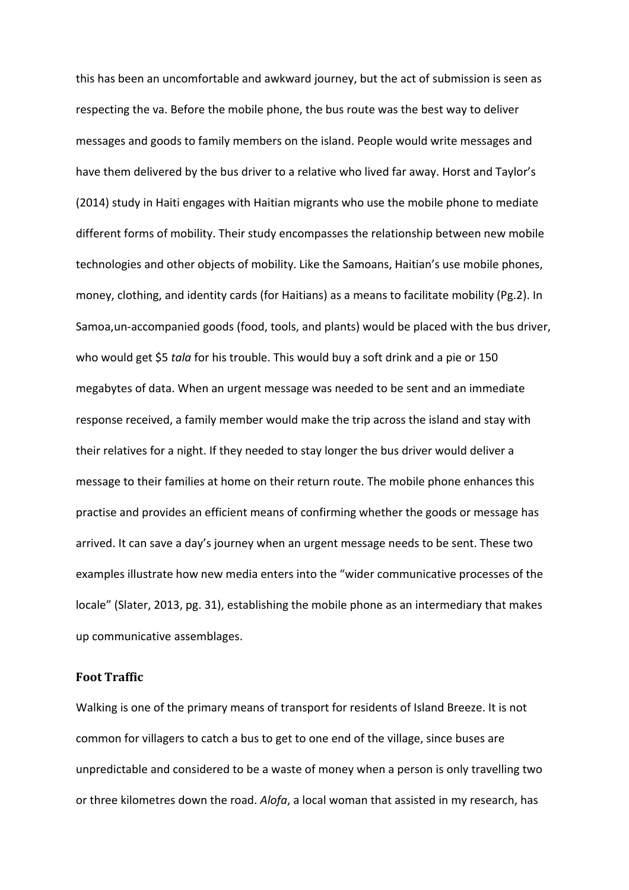this has been an uncomfortable and awkward journey, but the act of submission is seen as respecting the va. Before the mobile phone, the bus route was the best way to deliver messages and goods to family members on the island. People would write messages and have them delivered by the bus driver to a relative who lived far away. Horst and Taylor's (2014) study in Haiti engages with Haitian migrants who use the mobile phone to mediate different forms of mobility. Their study encompasses the relationship between new mobile technologies and other objects of mobility. Like the Samoans, Haitian's use mobile phones, money, clothing, and identity cards (for Haitians) as a means to facilitate mobility (Pg.2). In Samoa,un-accompanied goods (food, tools, and plants) would be placed with the bus driver, who would get \$5 *tala* for his trouble. This would buy a soft drink and a pie or 150 megabytes of data. When an urgent message was needed to be sent and an immediate response received, a family member would make the trip across the island and stay with their relatives for a night. If they needed to stay longer the bus driver would deliver a message to their families at home on their return route. The mobile phone enhances this practise and provides an efficient means of confirming whether the goods or message has arrived. It can save a day's journey when an urgent message needs to be sent. These two examples illustrate how new media enters into the "wider communicative processes of the locale" (Slater, 2013, pg. 31), establishing the mobile phone as an intermediary that makes up communicative assemblages.

## **Foot Traffic**

Walking is one of the primary means of transport for residents of Island Breeze. It is not common for villagers to catch a bus to get to one end of the village, since buses are unpredictable and considered to be a waste of money when a person is only travelling two or three kilometres down the road. *Alofa*, a local woman that assisted in my research, has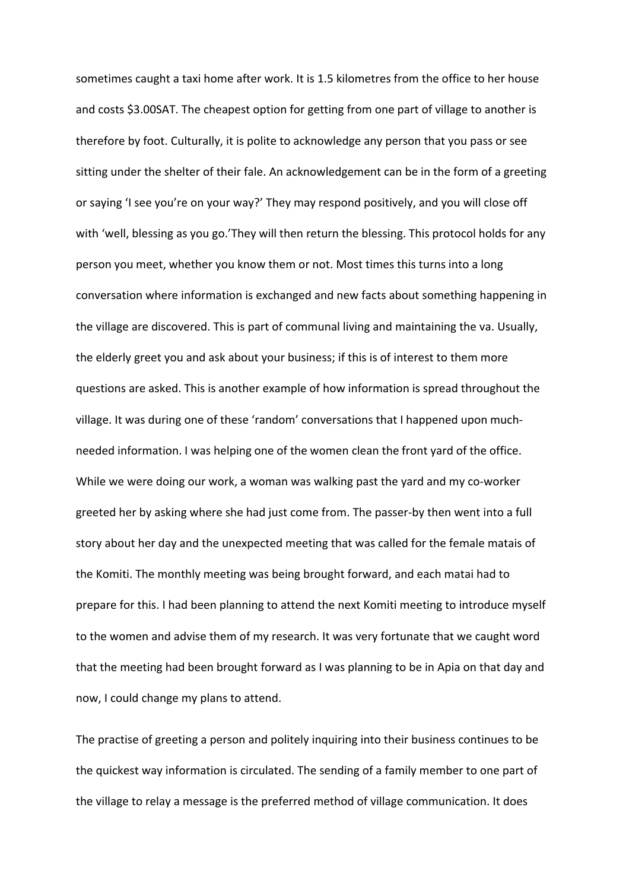sometimes caught a taxi home after work. It is 1.5 kilometres from the office to her house and costs \$3.00SAT. The cheapest option for getting from one part of village to another is therefore by foot. Culturally, it is polite to acknowledge any person that you pass or see sitting under the shelter of their fale. An acknowledgement can be in the form of a greeting or saying 'I see you're on your way?' They may respond positively, and you will close off with 'well, blessing as you go.'They will then return the blessing. This protocol holds for any person you meet, whether you know them or not. Most times this turns into a long conversation where information is exchanged and new facts about something happening in the village are discovered. This is part of communal living and maintaining the va. Usually, the elderly greet you and ask about your business; if this is of interest to them more questions are asked. This is another example of how information is spread throughout the village. It was during one of these 'random' conversations that I happened upon muchneeded information. I was helping one of the women clean the front yard of the office. While we were doing our work, a woman was walking past the yard and my co-worker greeted her by asking where she had just come from. The passer-by then went into a full story about her day and the unexpected meeting that was called for the female matais of the Komiti. The monthly meeting was being brought forward, and each matai had to prepare for this. I had been planning to attend the next Komiti meeting to introduce myself to the women and advise them of my research. It was very fortunate that we caught word that the meeting had been brought forward as I was planning to be in Apia on that day and now, I could change my plans to attend.

The practise of greeting a person and politely inquiring into their business continues to be the quickest way information is circulated. The sending of a family member to one part of the village to relay a message is the preferred method of village communication. It does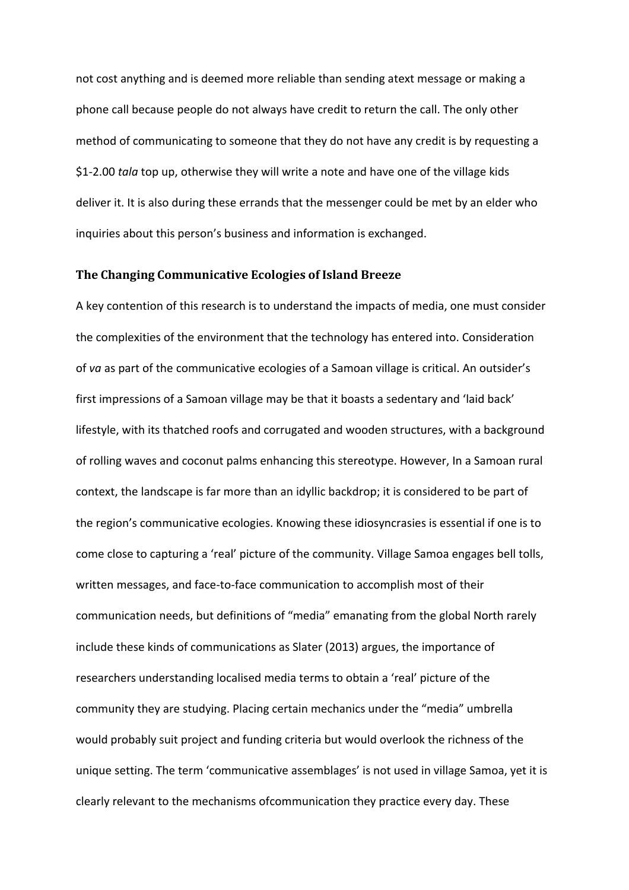not cost anything and is deemed more reliable than sending atext message or making a phone call because people do not always have credit to return the call. The only other method of communicating to someone that they do not have any credit is by requesting a \$1-2.00 *tala* top up, otherwise they will write a note and have one of the village kids deliver it. It is also during these errands that the messenger could be met by an elder who inquiries about this person's business and information is exchanged.

## **The Changing Communicative Ecologies of Island Breeze**

A key contention of this research is to understand the impacts of media, one must consider the complexities of the environment that the technology has entered into. Consideration of *va* as part of the communicative ecologies of a Samoan village is critical. An outsider's first impressions of a Samoan village may be that it boasts a sedentary and 'laid back' lifestyle, with its thatched roofs and corrugated and wooden structures, with a background of rolling waves and coconut palms enhancing this stereotype. However, In a Samoan rural context, the landscape is far more than an idyllic backdrop; it is considered to be part of the region's communicative ecologies. Knowing these idiosyncrasies is essential if one is to come close to capturing a 'real' picture of the community. Village Samoa engages bell tolls, written messages, and face-to-face communication to accomplish most of their communication needs, but definitions of "media" emanating from the global North rarely include these kinds of communications as Slater (2013) argues, the importance of researchers understanding localised media terms to obtain a 'real' picture of the community they are studying. Placing certain mechanics under the "media" umbrella would probably suit project and funding criteria but would overlook the richness of the unique setting. The term 'communicative assemblages' is not used in village Samoa, yet it is clearly relevant to the mechanisms ofcommunication they practice every day. These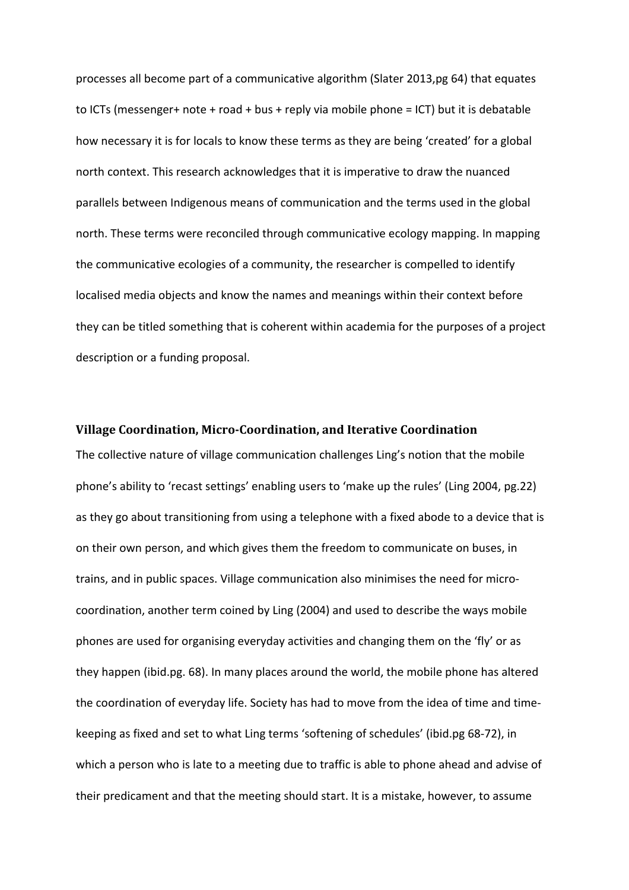processes all become part of a communicative algorithm (Slater 2013,pg 64) that equates to ICTs (messenger+ note + road + bus + reply via mobile phone = ICT) but it is debatable how necessary it is for locals to know these terms as they are being 'created' for a global north context. This research acknowledges that it is imperative to draw the nuanced parallels between Indigenous means of communication and the terms used in the global north. These terms were reconciled through communicative ecology mapping. In mapping the communicative ecologies of a community, the researcher is compelled to identify localised media objects and know the names and meanings within their context before they can be titled something that is coherent within academia for the purposes of a project description or a funding proposal.

## **Village Coordination, Micro-Coordination, and Iterative Coordination**

The collective nature of village communication challenges Ling's notion that the mobile phone's ability to 'recast settings' enabling users to 'make up the rules' (Ling 2004, pg.22) as they go about transitioning from using a telephone with a fixed abode to a device that is on their own person, and which gives them the freedom to communicate on buses, in trains, and in public spaces. Village communication also minimises the need for microcoordination, another term coined by Ling (2004) and used to describe the ways mobile phones are used for organising everyday activities and changing them on the 'fly' or as they happen (ibid.pg. 68). In many places around the world, the mobile phone has altered the coordination of everyday life. Society has had to move from the idea of time and timekeeping as fixed and set to what Ling terms 'softening of schedules' (ibid.pg 68-72), in which a person who is late to a meeting due to traffic is able to phone ahead and advise of their predicament and that the meeting should start. It is a mistake, however, to assume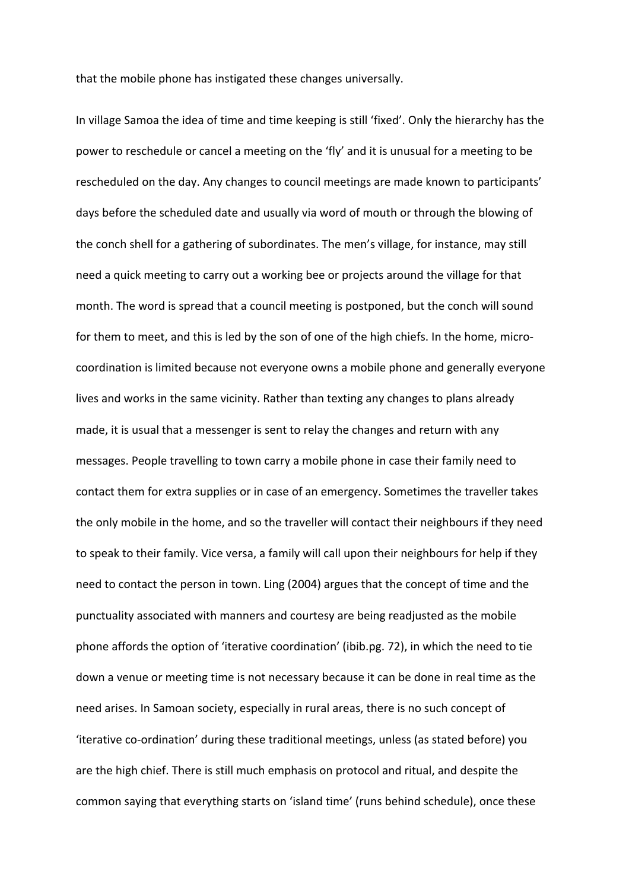that the mobile phone has instigated these changes universally.

In village Samoa the idea of time and time keeping is still 'fixed'. Only the hierarchy has the power to reschedule or cancel a meeting on the 'fly' and it is unusual for a meeting to be rescheduled on the day. Any changes to council meetings are made known to participants' days before the scheduled date and usually via word of mouth or through the blowing of the conch shell for a gathering of subordinates. The men's village, for instance, may still need a quick meeting to carry out a working bee or projects around the village for that month. The word is spread that a council meeting is postponed, but the conch will sound for them to meet, and this is led by the son of one of the high chiefs. In the home, microcoordination is limited because not everyone owns a mobile phone and generally everyone lives and works in the same vicinity. Rather than texting any changes to plans already made, it is usual that a messenger is sent to relay the changes and return with any messages. People travelling to town carry a mobile phone in case their family need to contact them for extra supplies or in case of an emergency. Sometimes the traveller takes the only mobile in the home, and so the traveller will contact their neighbours if they need to speak to their family. Vice versa, a family will call upon their neighbours for help if they need to contact the person in town. Ling (2004) argues that the concept of time and the punctuality associated with manners and courtesy are being readjusted as the mobile phone affords the option of 'iterative coordination' (ibib.pg. 72), in which the need to tie down a venue or meeting time is not necessary because it can be done in real time as the need arises. In Samoan society, especially in rural areas, there is no such concept of 'iterative co-ordination' during these traditional meetings, unless (as stated before) you are the high chief. There is still much emphasis on protocol and ritual, and despite the common saying that everything starts on 'island time' (runs behind schedule), once these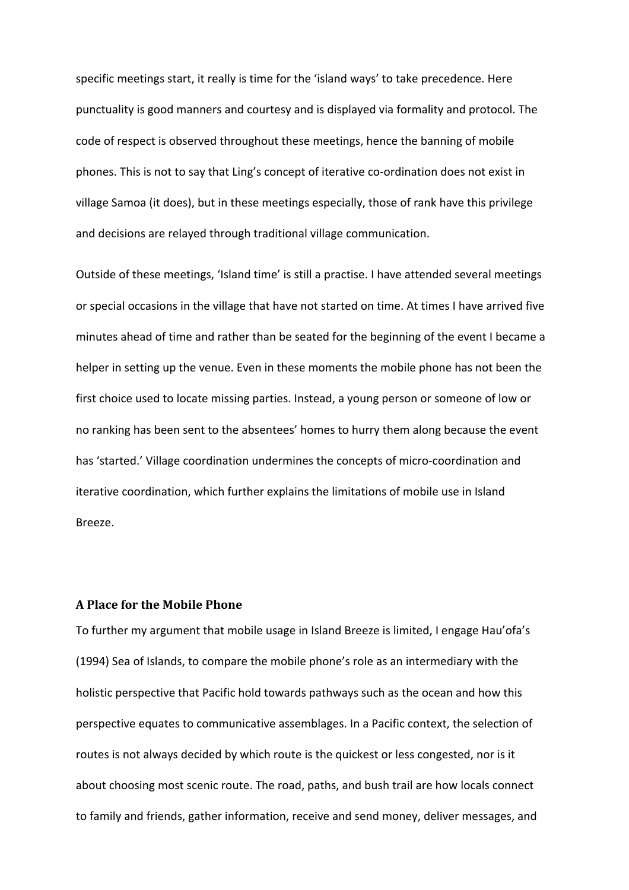specific meetings start, it really is time for the 'island ways' to take precedence. Here punctuality is good manners and courtesy and is displayed via formality and protocol. The code of respect is observed throughout these meetings, hence the banning of mobile phones. This is not to say that Ling's concept of iterative co-ordination does not exist in village Samoa (it does), but in these meetings especially, those of rank have this privilege and decisions are relayed through traditional village communication.

Outside of these meetings, 'Island time' is still a practise. I have attended several meetings or special occasions in the village that have not started on time. At times I have arrived five minutes ahead of time and rather than be seated for the beginning of the event I became a helper in setting up the venue. Even in these moments the mobile phone has not been the first choice used to locate missing parties. Instead, a young person or someone of low or no ranking has been sent to the absentees' homes to hurry them along because the event has 'started.' Village coordination undermines the concepts of micro-coordination and iterative coordination, which further explains the limitations of mobile use in Island Breeze.

## **A Place for the Mobile Phone**

To further my argument that mobile usage in Island Breeze is limited, I engage Hau'ofa's (1994) Sea of Islands, to compare the mobile phone's role as an intermediary with the holistic perspective that Pacific hold towards pathways such as the ocean and how this perspective equates to communicative assemblages. In a Pacific context, the selection of routes is not always decided by which route is the quickest or less congested, nor is it about choosing most scenic route. The road, paths, and bush trail are how locals connect to family and friends, gather information, receive and send money, deliver messages, and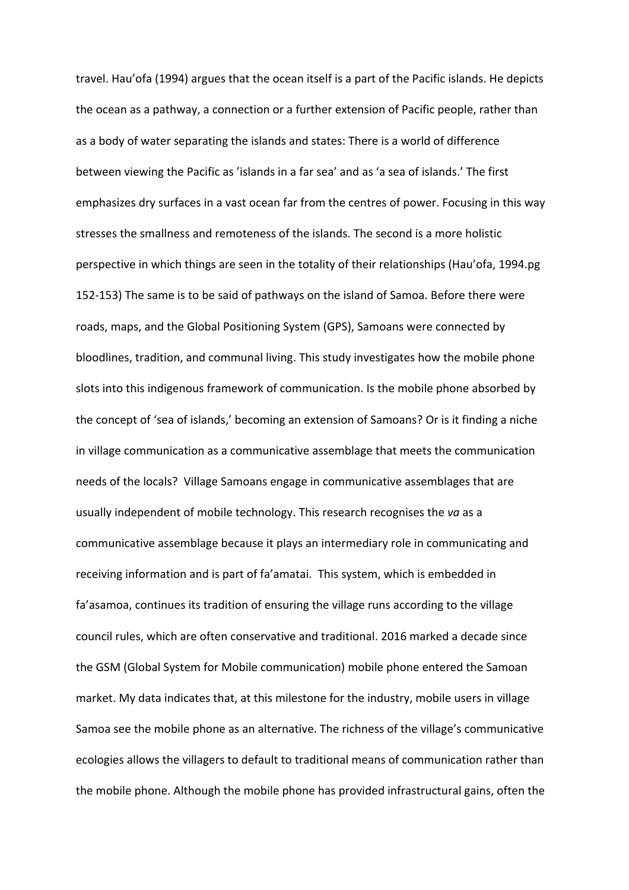travel. Hau'ofa (1994) argues that the ocean itself is a part of the Pacific islands. He depicts the ocean as a pathway, a connection or a further extension of Pacific people, rather than as a body of water separating the islands and states: There is a world of difference between viewing the Pacific as 'islands in a far sea' and as 'a sea of islands.' The first emphasizes dry surfaces in a vast ocean far from the centres of power. Focusing in this way stresses the smallness and remoteness of the islands. The second is a more holistic perspective in which things are seen in the totality of their relationships (Hau'ofa, 1994.pg 152-153) The same is to be said of pathways on the island of Samoa. Before there were roads, maps, and the Global Positioning System (GPS), Samoans were connected by bloodlines, tradition, and communal living. This study investigates how the mobile phone slots into this indigenous framework of communication. Is the mobile phone absorbed by the concept of 'sea of islands,' becoming an extension of Samoans? Or is it finding a niche in village communication as a communicative assemblage that meets the communication needs of the locals? Village Samoans engage in communicative assemblages that are usually independent of mobile technology. This research recognises the *va* as a communicative assemblage because it plays an intermediary role in communicating and receiving information and is part of fa'amatai. This system, which is embedded in fa'asamoa, continues its tradition of ensuring the village runs according to the village council rules, which are often conservative and traditional. 2016 marked a decade since the GSM (Global System for Mobile communication) mobile phone entered the Samoan market. My data indicates that, at this milestone for the industry, mobile users in village Samoa see the mobile phone as an alternative. The richness of the village's communicative ecologies allows the villagers to default to traditional means of communication rather than the mobile phone. Although the mobile phone has provided infrastructural gains, often the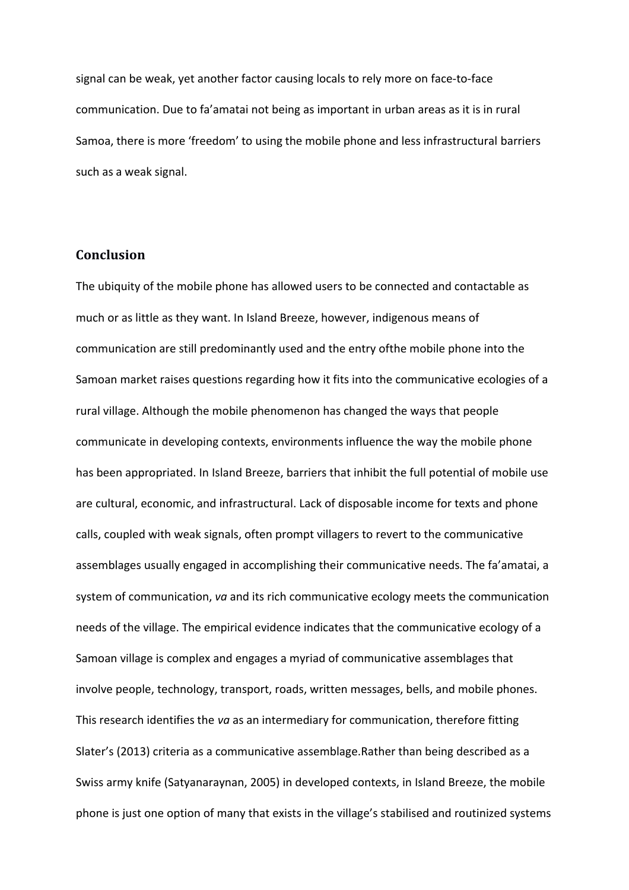signal can be weak, yet another factor causing locals to rely more on face-to-face communication. Due to fa'amatai not being as important in urban areas as it is in rural Samoa, there is more 'freedom' to using the mobile phone and less infrastructural barriers such as a weak signal.

## **Conclusion**

The ubiquity of the mobile phone has allowed users to be connected and contactable as much or as little as they want. In Island Breeze, however, indigenous means of communication are still predominantly used and the entry ofthe mobile phone into the Samoan market raises questions regarding how it fits into the communicative ecologies of a rural village. Although the mobile phenomenon has changed the ways that people communicate in developing contexts, environments influence the way the mobile phone has been appropriated. In Island Breeze, barriers that inhibit the full potential of mobile use are cultural, economic, and infrastructural. Lack of disposable income for texts and phone calls, coupled with weak signals, often prompt villagers to revert to the communicative assemblages usually engaged in accomplishing their communicative needs. The fa'amatai, a system of communication, *va* and its rich communicative ecology meets the communication needs of the village. The empirical evidence indicates that the communicative ecology of a Samoan village is complex and engages a myriad of communicative assemblages that involve people, technology, transport, roads, written messages, bells, and mobile phones. This research identifies the *va* as an intermediary for communication, therefore fitting Slater's (2013) criteria as a communicative assemblage.Rather than being described as a Swiss army knife (Satyanaraynan, 2005) in developed contexts, in Island Breeze, the mobile phone is just one option of many that exists in the village's stabilised and routinized systems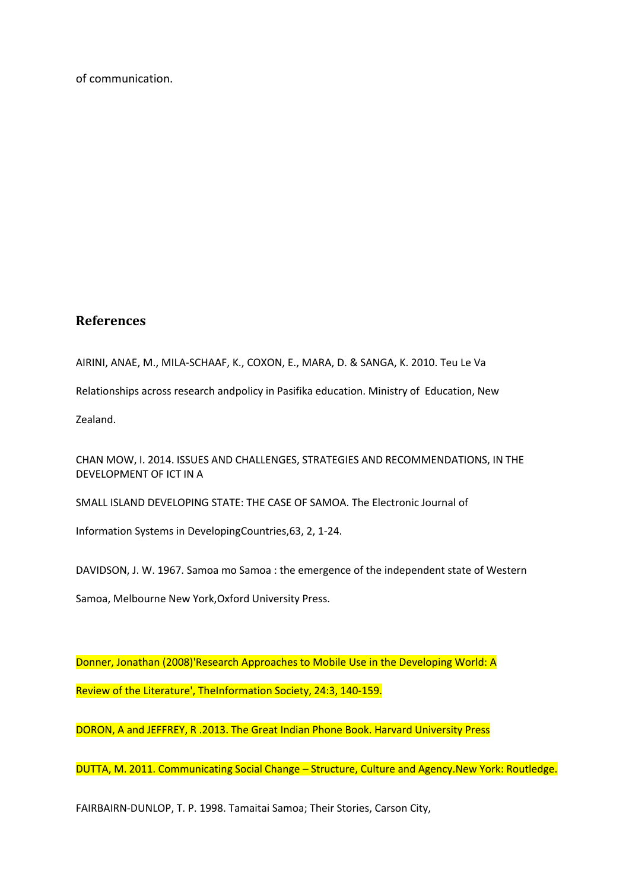of communication.

# **References**

AIRINI, ANAE, M., MILA-SCHAAF, K., COXON, E., MARA, D. & SANGA, K. 2010. Teu Le Va

Relationships across research andpolicy in Pasifika education. Ministry of Education, New

Zealand.

CHAN MOW, I. 2014. ISSUES AND CHALLENGES, STRATEGIES AND RECOMMENDATIONS, IN THE DEVELOPMENT OF ICT IN A

SMALL ISLAND DEVELOPING STATE: THE CASE OF SAMOA. The Electronic Journal of

Information Systems in DevelopingCountries,63, 2, 1-24.

DAVIDSON, J. W. 1967. Samoa mo Samoa : the emergence of the independent state of Western

Samoa, Melbourne New York,Oxford University Press.

Donner, Jonathan (2008)'Research Approaches to Mobile Use in the Developing World: A Review of the Literature', TheInformation Society, 24:3, 140-159.

DORON, A and JEFFREY, R .2013. The Great Indian Phone Book. Harvard University Press

DUTTA, M. 2011. Communicating Social Change – Structure, Culture and Agency.New York: Routledge.

FAIRBAIRN-DUNLOP, T. P. 1998. Tamaitai Samoa; Their Stories, Carson City,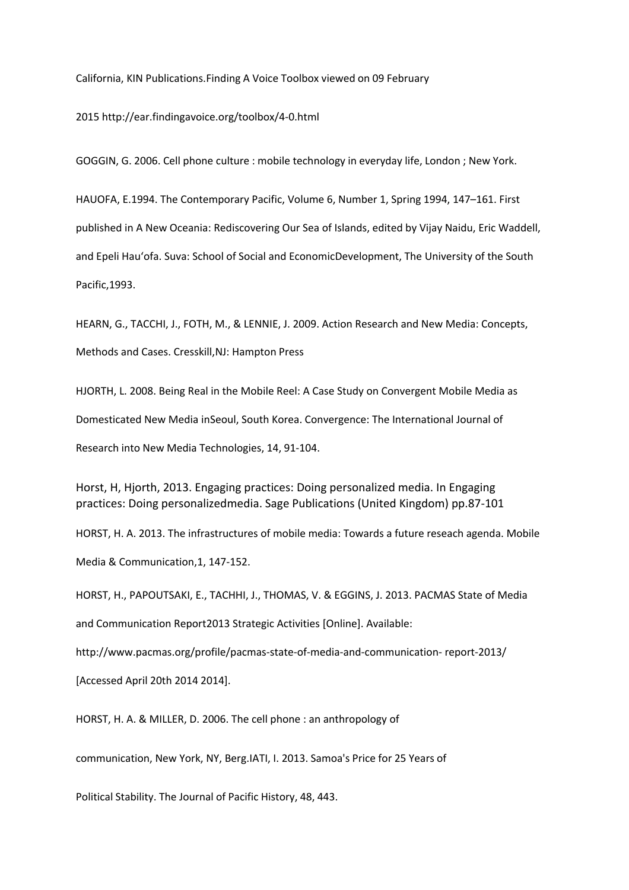California, KIN Publications.Finding A Voice Toolbox viewed on 09 February

2015 http://ear.findingavoice.org/toolbox/4-0.html

GOGGIN, G. 2006. Cell phone culture : mobile technology in everyday life, London ; New York.

HAUOFA, E.1994. The Contemporary Pacific, Volume 6, Number 1, Spring 1994, 147–161. First published in A New Oceania: Rediscovering Our Sea of Islands, edited by Vijay Naidu, Eric Waddell, and Epeli Hau'ofa. Suva: School of Social and EconomicDevelopment, The University of the South Pacific,1993.

HEARN, G., TACCHI, J., FOTH, M., & LENNIE, J. 2009. Action Research and New Media: Concepts, Methods and Cases. Cresskill,NJ: Hampton Press

HJORTH, L. 2008. Being Real in the Mobile Reel: A Case Study on Convergent Mobile Media as Domesticated New Media inSeoul, South Korea. Convergence: The International Journal of Research into New Media Technologies, 14, 91-104.

Horst, H, Hjorth, 2013. Engaging practices: Doing personalized media. In Engaging practices: Doing personalizedmedia. Sage Publications (United Kingdom) pp.87-101

HORST, H. A. 2013. The infrastructures of mobile media: Towards a future reseach agenda. Mobile Media & Communication,1, 147-152.

HORST, H., PAPOUTSAKI, E., TACHHI, J., THOMAS, V. & EGGINS, J. 2013. PACMAS State of Media and Communication Report2013 Strategic Activities [Online]. Available: http://www.pacmas.org/profile/pacmas-state-of-media-and-communication- report-2013/ [Accessed April 20th 2014 2014].

HORST, H. A. & MILLER, D. 2006. The cell phone : an anthropology of

communication, New York, NY, Berg.IATI, I. 2013. Samoa's Price for 25 Years of

Political Stability. The Journal of Pacific History, 48, 443.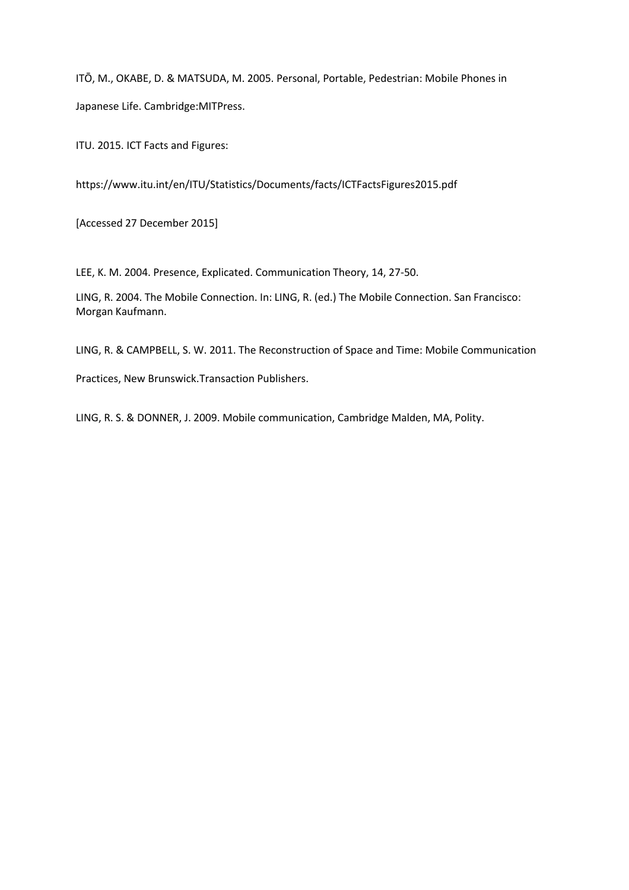ITŌ, M., OKABE, D. & MATSUDA, M. 2005. Personal, Portable, Pedestrian: Mobile Phones in Japanese Life. Cambridge:MITPress.

ITU. 2015. ICT Facts and Figures:

https://www.itu.int/en/ITU/Statistics/Documents/facts/ICTFactsFigures2015.pdf

[Accessed 27 December 2015]

LEE, K. M. 2004. Presence, Explicated. Communication Theory, 14, 27-50.

LING, R. 2004. The Mobile Connection. In: LING, R. (ed.) The Mobile Connection. San Francisco: Morgan Kaufmann.

LING, R. & CAMPBELL, S. W. 2011. The Reconstruction of Space and Time: Mobile Communication

Practices, New Brunswick.Transaction Publishers.

LING, R. S. & DONNER, J. 2009. Mobile communication, Cambridge Malden, MA, Polity.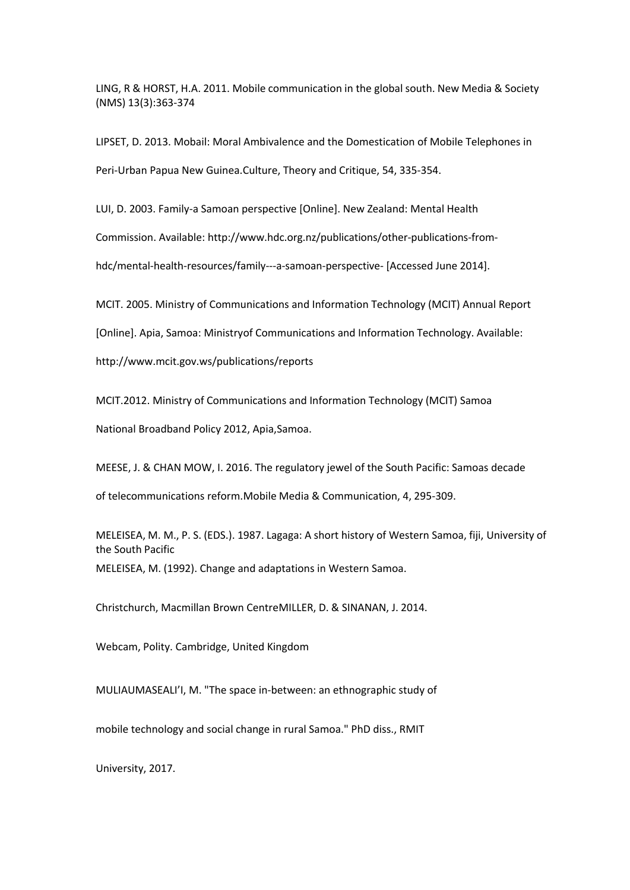LING, R & HORST, H.A. 2011. Mobile communication in the global south. New Media & Society (NMS) 13(3):363-374

LIPSET, D. 2013. Mobail: Moral Ambivalence and the Domestication of Mobile Telephones in Peri-Urban Papua New Guinea.Culture, Theory and Critique, 54, 335-354.

LUI, D. 2003. Family-a Samoan perspective [Online]. New Zealand: Mental Health

Commission. Available: http://www.hdc.org.nz/publications/other-publications-from-

hdc/mental-health-resources/family---a-samoan-perspective- [Accessed June 2014].

MCIT. 2005. Ministry of Communications and Information Technology (MCIT) Annual Report

[Online]. Apia, Samoa: Ministryof Communications and Information Technology. Available:

http://www.mcit.gov.ws/publications/reports

MCIT.2012. Ministry of Communications and Information Technology (MCIT) Samoa

National Broadband Policy 2012, Apia,Samoa.

MEESE, J. & CHAN MOW, I. 2016. The regulatory jewel of the South Pacific: Samoas decade

of telecommunications reform.Mobile Media & Communication, 4, 295-309.

MELEISEA, M. M., P. S. (EDS.). 1987. Lagaga: A short history of Western Samoa, fiji, University of the South Pacific MELEISEA, M. (1992). Change and adaptations in Western Samoa.

Christchurch, Macmillan Brown CentreMILLER, D. & SINANAN, J. 2014.

Webcam, Polity. Cambridge, United Kingdom

MULIAUMASEALI'I, M. "The space in-between: an ethnographic study of

mobile technology and social change in rural Samoa." PhD diss., RMIT

University, 2017.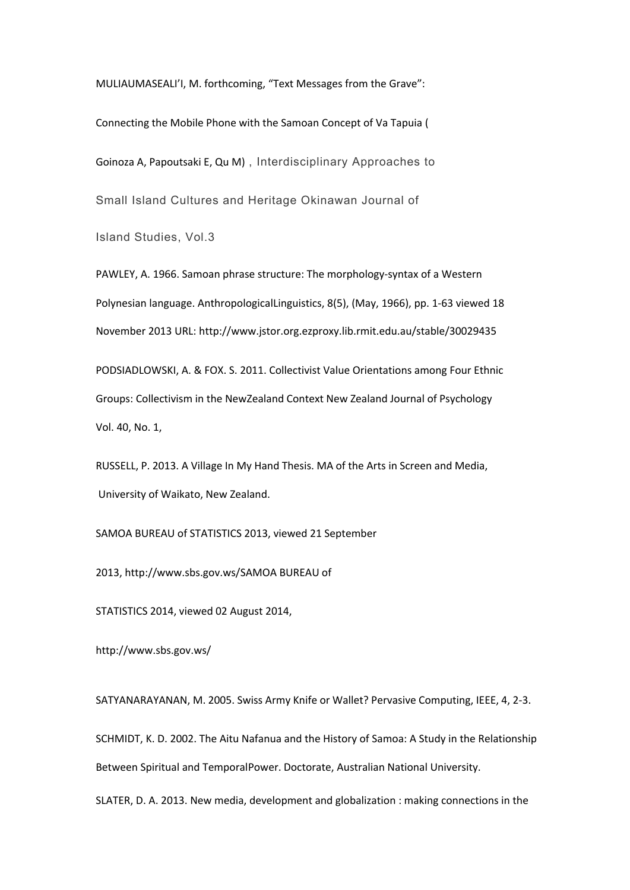MULIAUMASEALI'I, M. forthcoming, "Text Messages from the Grave":

Connecting the Mobile Phone with the Samoan Concept of Va Tapuia ( Goinoza A, Papoutsaki E, Qu M) , Interdisciplinary Approaches to Small Island Cultures and Heritage Okinawan Journal of Island Studies, Vol.3

PAWLEY, A. 1966. Samoan phrase structure: The morphology-syntax of a Western Polynesian language. AnthropologicalLinguistics, 8(5), (May, 1966), pp. 1-63 viewed 18 November 2013 URL: http://www.jstor.org.ezproxy.lib.rmit.edu.au/stable/30029435

PODSIADLOWSKI, A. & FOX. S. 2011. Collectivist Value Orientations among Four Ethnic Groups: Collectivism in the NewZealand Context New Zealand Journal of Psychology Vol. 40, No. 1,

RUSSELL, P. 2013. A Village In My Hand Thesis. MA of the Arts in Screen and Media, University of Waikato, New Zealand.

SAMOA BUREAU of STATISTICS 2013, viewed 21 September

2013, http://www.sbs.gov.ws/SAMOA BUREAU of

STATISTICS 2014, viewed 02 August 2014,

http://www.sbs.gov.ws/

SATYANARAYANAN, M. 2005. Swiss Army Knife or Wallet? Pervasive Computing, IEEE, 4, 2-3.

SCHMIDT, K. D. 2002. The Aitu Nafanua and the History of Samoa: A Study in the Relationship Between Spiritual and TemporalPower. Doctorate, Australian National University.

SLATER, D. A. 2013. New media, development and globalization : making connections in the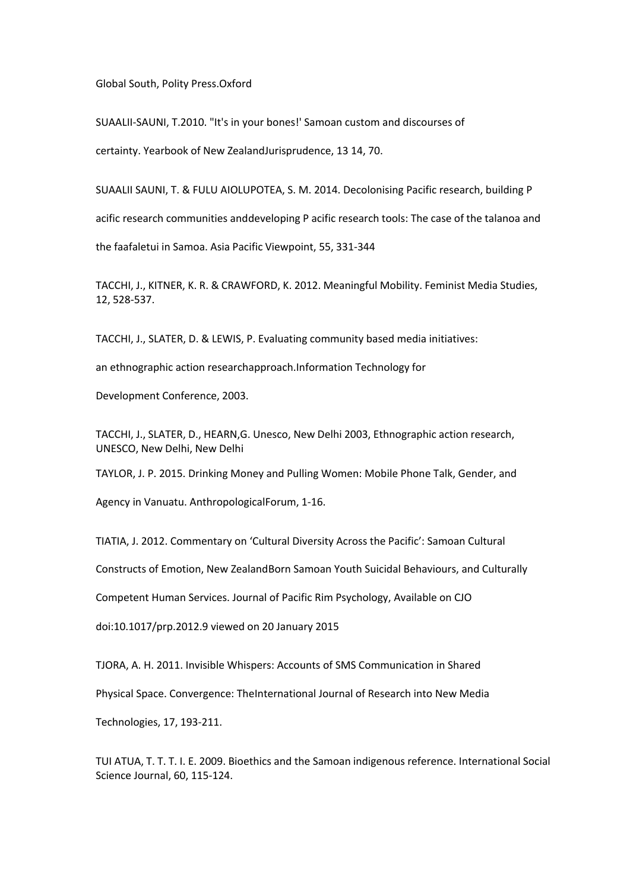Global South, Polity Press.Oxford

SUAALII-SAUNI, T.2010. "It's in your bones!' Samoan custom and discourses of certainty. Yearbook of New ZealandJurisprudence, 13 14, 70.

SUAALII SAUNI, T. & FULU AIOLUPOTEA, S. M. 2014. Decolonising Pacific research, building P acific research communities anddeveloping P acific research tools: The case of the talanoa and the faafaletui in Samoa. Asia Pacific Viewpoint, 55, 331-344

TACCHI, J., KITNER, K. R. & CRAWFORD, K. 2012. Meaningful Mobility. Feminist Media Studies, 12, 528-537.

TACCHI, J., SLATER, D. & LEWIS, P. Evaluating community based media initiatives:

an ethnographic action researchapproach.Information Technology for

Development Conference, 2003.

TACCHI, J., SLATER, D., HEARN,G. Unesco, New Delhi 2003, Ethnographic action research, UNESCO, New Delhi, New Delhi

TAYLOR, J. P. 2015. Drinking Money and Pulling Women: Mobile Phone Talk, Gender, and

Agency in Vanuatu. AnthropologicalForum, 1-16.

TIATIA, J. 2012. Commentary on 'Cultural Diversity Across the Pacific': Samoan Cultural

Constructs of Emotion, New ZealandBorn Samoan Youth Suicidal Behaviours, and Culturally

Competent Human Services. Journal of Pacific Rim Psychology, Available on CJO

doi:10.1017/prp.2012.9 viewed on 20 January 2015

TJORA, A. H. 2011. Invisible Whispers: Accounts of SMS Communication in Shared

Physical Space. Convergence: TheInternational Journal of Research into New Media

Technologies, 17, 193-211.

TUI ATUA, T. T. T. I. E. 2009. Bioethics and the Samoan indigenous reference. International Social Science Journal, 60, 115-124.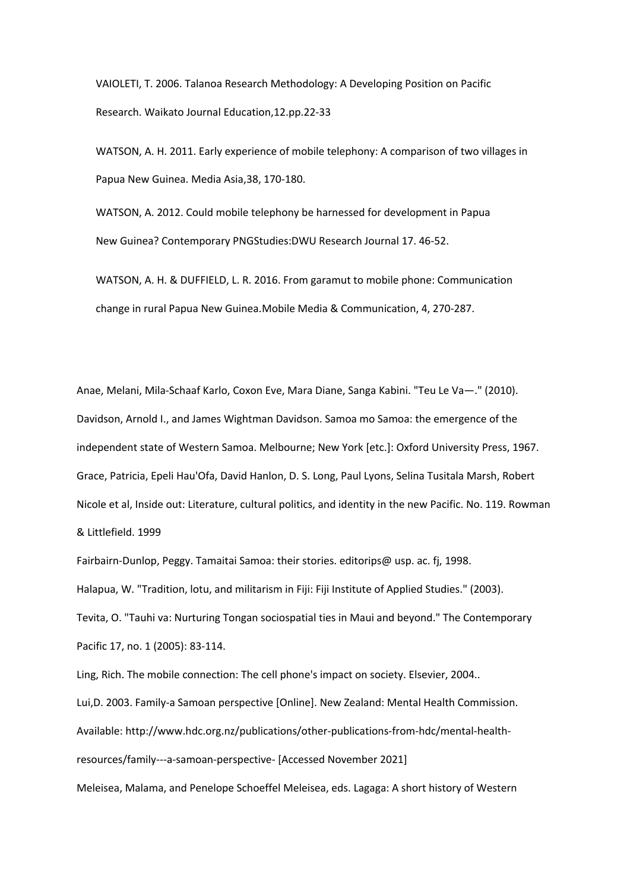VAIOLETI, T. 2006. Talanoa Research Methodology: A Developing Position on Pacific Research. Waikato Journal Education,12.pp.22-33

WATSON, A. H. 2011. Early experience of mobile telephony: A comparison of two villages in Papua New Guinea. Media Asia,38, 170-180.

WATSON, A. 2012. Could mobile telephony be harnessed for development in Papua New Guinea? Contemporary PNGStudies:DWU Research Journal 17. 46-52.

WATSON, A. H. & DUFFIELD, L. R. 2016. From garamut to mobile phone: Communication change in rural Papua New Guinea.Mobile Media & Communication, 4, 270-287.

Anae, Melani, Mila-Schaaf Karlo, Coxon Eve, Mara Diane, Sanga Kabini. "Teu Le Va—." (2010). Davidson, Arnold I., and James Wightman Davidson. Samoa mo Samoa: the emergence of the independent state of Western Samoa. Melbourne; New York [etc.]: Oxford University Press, 1967. Grace, Patricia, Epeli Hau'Ofa, David Hanlon, D. S. Long, Paul Lyons, Selina Tusitala Marsh, Robert Nicole et al, Inside out: Literature, cultural politics, and identity in the new Pacific. No. 119. Rowman & Littlefield. 1999

Fairbairn-Dunlop, Peggy. Tamaitai Samoa: their stories. editorips@ usp. ac. fj, 1998. Halapua, W. "Tradition, lotu, and militarism in Fiji: Fiji Institute of Applied Studies." (2003). Tevita, O. "Tauhi va: Nurturing Tongan sociospatial ties in Maui and beyond." The Contemporary Pacific 17, no. 1 (2005): 83-114.

Ling, Rich. The mobile connection: The cell phone's impact on society. Elsevier, 2004.. Lui,D. 2003. Family-a Samoan perspective [Online]. New Zealand: Mental Health Commission. Available: http://www.hdc.org.nz/publications/other-publications-from-hdc/mental-healthresources/family---a-samoan-perspective- [Accessed November 2021] Meleisea, Malama, and Penelope Schoeffel Meleisea, eds. Lagaga: A short history of Western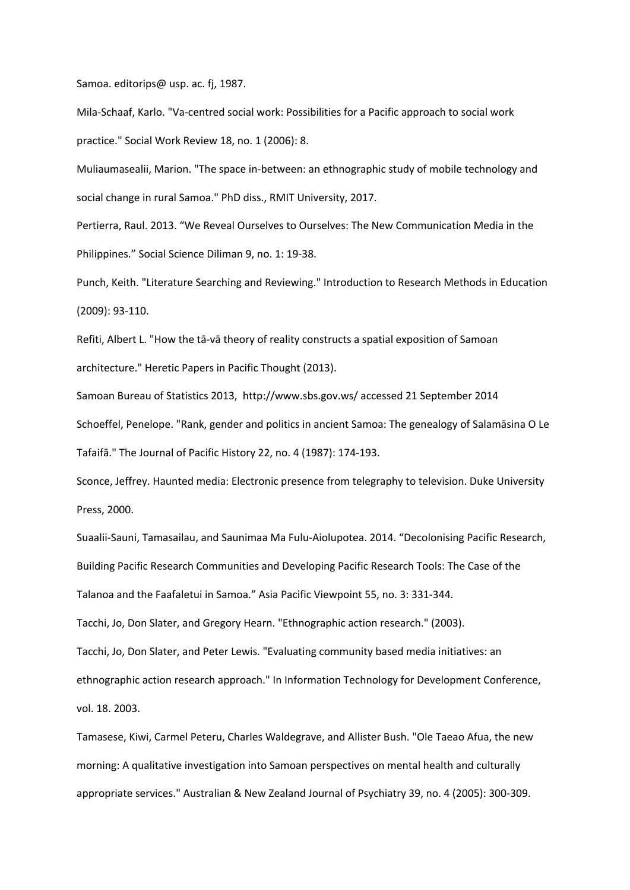Samoa. editorips@ usp. ac. fj, 1987.

Mila-Schaaf, Karlo. "Va-centred social work: Possibilities for a Pacific approach to social work practice." Social Work Review 18, no. 1 (2006): 8.

Muliaumasealii, Marion. "The space in-between: an ethnographic study of mobile technology and social change in rural Samoa." PhD diss., RMIT University, 2017.

Pertierra, Raul. 2013. "We Reveal Ourselves to Ourselves: The New Communication Media in the Philippines." Social Science Diliman 9, no. 1: 19-38.

Punch, Keith. "Literature Searching and Reviewing." Introduction to Research Methods in Education (2009): 93-110.

Refiti, Albert L. "How the tā-vā theory of reality constructs a spatial exposition of Samoan architecture." Heretic Papers in Pacific Thought (2013).

Samoan Bureau of Statistics 2013, http://www.sbs.gov.ws/ accessed 21 September 2014 Schoeffel, Penelope. "Rank, gender and politics in ancient Samoa: The genealogy of Salamāsina O Le Tafaifā." The Journal of Pacific History 22, no. 4 (1987): 174-193.

Sconce, Jeffrey. Haunted media: Electronic presence from telegraphy to television. Duke University Press, 2000.

Suaalii-Sauni, Tamasailau, and Saunimaa Ma Fulu-Aiolupotea. 2014. "Decolonising Pacific Research, Building Pacific Research Communities and Developing Pacific Research Tools: The Case of the Talanoa and the Faafaletui in Samoa." Asia Pacific Viewpoint 55, no. 3: 331-344.

Tacchi, Jo, Don Slater, and Gregory Hearn. "Ethnographic action research." (2003).

Tacchi, Jo, Don Slater, and Peter Lewis. "Evaluating community based media initiatives: an ethnographic action research approach." In Information Technology for Development Conference, vol. 18. 2003.

Tamasese, Kiwi, Carmel Peteru, Charles Waldegrave, and Allister Bush. "Ole Taeao Afua, the new morning: A qualitative investigation into Samoan perspectives on mental health and culturally appropriate services." Australian & New Zealand Journal of Psychiatry 39, no. 4 (2005): 300-309.